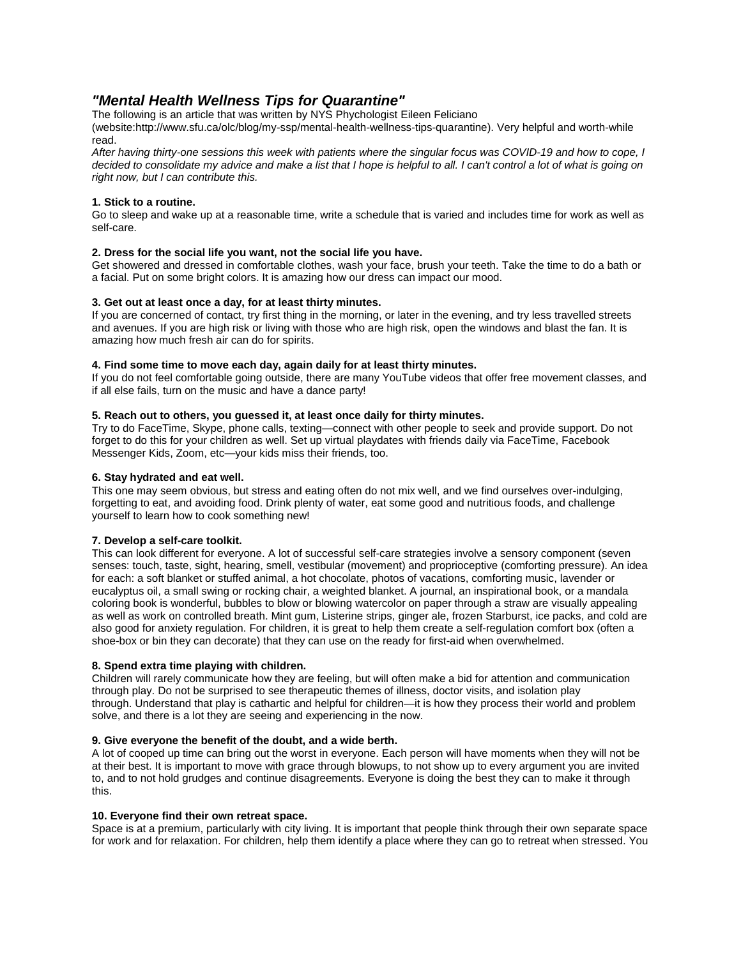## *"Mental Health Wellness Tips for Quarantine"*

The following is an article that was written by NYS Phychologist Eileen Feliciano

(website:http://www.sfu.ca/olc/blog/my-ssp/mental-health-wellness-tips-quarantine). Very helpful and worth-while read.

After having thirty-one sessions this week with patients where the singular focus was COVID-19 and how to cope, I decided to consolidate my advice and make a list that I hope is helpful to all. I can't control a lot of what is going on *right now, but I can contribute this.*

## **1. Stick to a routine.**

Go to sleep and wake up at a reasonable time, write a schedule that is varied and includes time for work as well as self-care.

#### **2. Dress for the social life you want, not the social life you have.**

Get showered and dressed in comfortable clothes, wash your face, brush your teeth. Take the time to do a bath or a facial. Put on some bright colors. It is amazing how our dress can impact our mood.

#### **3. Get out at least once a day, for at least thirty minutes.**

If you are concerned of contact, try first thing in the morning, or later in the evening, and try less travelled streets and avenues. If you are high risk or living with those who are high risk, open the windows and blast the fan. It is amazing how much fresh air can do for spirits.

## **4. Find some time to move each day, again daily for at least thirty minutes.**

If you do not feel comfortable going outside, there are many YouTube videos that offer free movement classes, and if all else fails, turn on the music and have a dance party!

#### **5. Reach out to others, you guessed it, at least once daily for thirty minutes.**

Try to do FaceTime, Skype, phone calls, texting—connect with other people to seek and provide support. Do not forget to do this for your children as well. Set up virtual playdates with friends daily via FaceTime, Facebook Messenger Kids, Zoom, etc—your kids miss their friends, too.

#### **6. Stay hydrated and eat well.**

This one may seem obvious, but stress and eating often do not mix well, and we find ourselves over-indulging, forgetting to eat, and avoiding food. Drink plenty of water, eat some good and nutritious foods, and challenge yourself to learn how to cook something new!

## **7. Develop a self-care toolkit.**

This can look different for everyone. A lot of successful self-care strategies involve a sensory component (seven senses: touch, taste, sight, hearing, smell, vestibular (movement) and proprioceptive (comforting pressure). An idea for each: a soft blanket or stuffed animal, a hot chocolate, photos of vacations, comforting music, lavender or eucalyptus oil, a small swing or rocking chair, a weighted blanket. A journal, an inspirational book, or a mandala coloring book is wonderful, bubbles to blow or blowing watercolor on paper through a straw are visually appealing as well as work on controlled breath. Mint gum, Listerine strips, ginger ale, frozen Starburst, ice packs, and cold are also good for anxiety regulation. For children, it is great to help them create a self-regulation comfort box (often a shoe-box or bin they can decorate) that they can use on the ready for first-aid when overwhelmed.

## **8. Spend extra time playing with children.**

Children will rarely communicate how they are feeling, but will often make a bid for attention and communication through play. Do not be surprised to see therapeutic themes of illness, doctor visits, and isolation play through. Understand that play is cathartic and helpful for children—it is how they process their world and problem solve, and there is a lot they are seeing and experiencing in the now.

#### **9. Give everyone the benefit of the doubt, and a wide berth.**

A lot of cooped up time can bring out the worst in everyone. Each person will have moments when they will not be at their best. It is important to move with grace through blowups, to not show up to every argument you are invited to, and to not hold grudges and continue disagreements. Everyone is doing the best they can to make it through this.

#### **10. Everyone find their own retreat space.**

Space is at a premium, particularly with city living. It is important that people think through their own separate space for work and for relaxation. For children, help them identify a place where they can go to retreat when stressed. You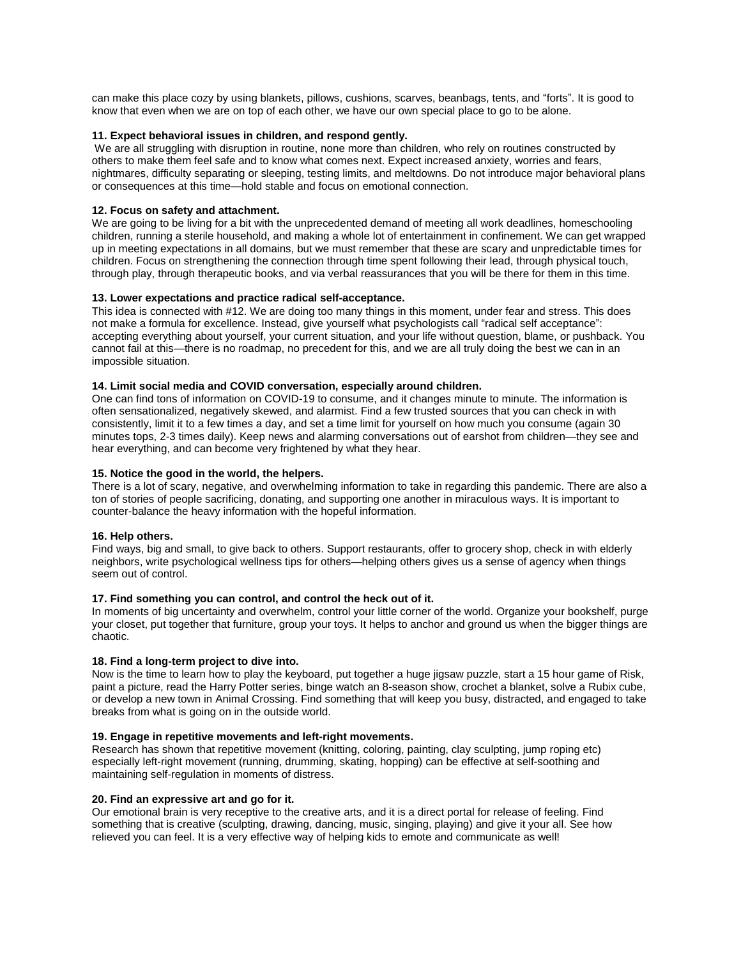can make this place cozy by using blankets, pillows, cushions, scarves, beanbags, tents, and "forts". It is good to know that even when we are on top of each other, we have our own special place to go to be alone.

#### **11. Expect behavioral issues in children, and respond gently.**

We are all struggling with disruption in routine, none more than children, who rely on routines constructed by others to make them feel safe and to know what comes next. Expect increased anxiety, worries and fears, nightmares, difficulty separating or sleeping, testing limits, and meltdowns. Do not introduce major behavioral plans or consequences at this time—hold stable and focus on emotional connection.

#### **12. Focus on safety and attachment.**

We are going to be living for a bit with the unprecedented demand of meeting all work deadlines, homeschooling children, running a sterile household, and making a whole lot of entertainment in confinement. We can get wrapped up in meeting expectations in all domains, but we must remember that these are scary and unpredictable times for children. Focus on strengthening the connection through time spent following their lead, through physical touch, through play, through therapeutic books, and via verbal reassurances that you will be there for them in this time.

## **13. Lower expectations and practice radical self-acceptance.**

This idea is connected with #12. We are doing too many things in this moment, under fear and stress. This does not make a formula for excellence. Instead, give yourself what psychologists call "radical self acceptance": accepting everything about yourself, your current situation, and your life without question, blame, or pushback. You cannot fail at this—there is no roadmap, no precedent for this, and we are all truly doing the best we can in an impossible situation.

#### **14. Limit social media and COVID conversation, especially around children.**

One can find tons of information on COVID-19 to consume, and it changes minute to minute. The information is often sensationalized, negatively skewed, and alarmist. Find a few trusted sources that you can check in with consistently, limit it to a few times a day, and set a time limit for yourself on how much you consume (again 30 minutes tops, 2-3 times daily). Keep news and alarming conversations out of earshot from children—they see and hear everything, and can become very frightened by what they hear.

#### **15. Notice the good in the world, the helpers.**

There is a lot of scary, negative, and overwhelming information to take in regarding this pandemic. There are also a ton of stories of people sacrificing, donating, and supporting one another in miraculous ways. It is important to counter-balance the heavy information with the hopeful information.

#### **16. Help others.**

Find ways, big and small, to give back to others. Support restaurants, offer to grocery shop, check in with elderly neighbors, write psychological wellness tips for others—helping others gives us a sense of agency when things seem out of control.

## **17. Find something you can control, and control the heck out of it.**

In moments of big uncertainty and overwhelm, control your little corner of the world. Organize your bookshelf, purge your closet, put together that furniture, group your toys. It helps to anchor and ground us when the bigger things are chaotic.

#### **18. Find a long-term project to dive into.**

Now is the time to learn how to play the keyboard, put together a huge jigsaw puzzle, start a 15 hour game of Risk, paint a picture, read the Harry Potter series, binge watch an 8-season show, crochet a blanket, solve a Rubix cube, or develop a new town in Animal Crossing. Find something that will keep you busy, distracted, and engaged to take breaks from what is going on in the outside world.

#### **19. Engage in repetitive movements and left-right movements.**

Research has shown that repetitive movement (knitting, coloring, painting, clay sculpting, jump roping etc) especially left-right movement (running, drumming, skating, hopping) can be effective at self-soothing and maintaining self-regulation in moments of distress.

#### **20. Find an expressive art and go for it.**

Our emotional brain is very receptive to the creative arts, and it is a direct portal for release of feeling. Find something that is creative (sculpting, drawing, dancing, music, singing, playing) and give it your all. See how relieved you can feel. It is a very effective way of helping kids to emote and communicate as well!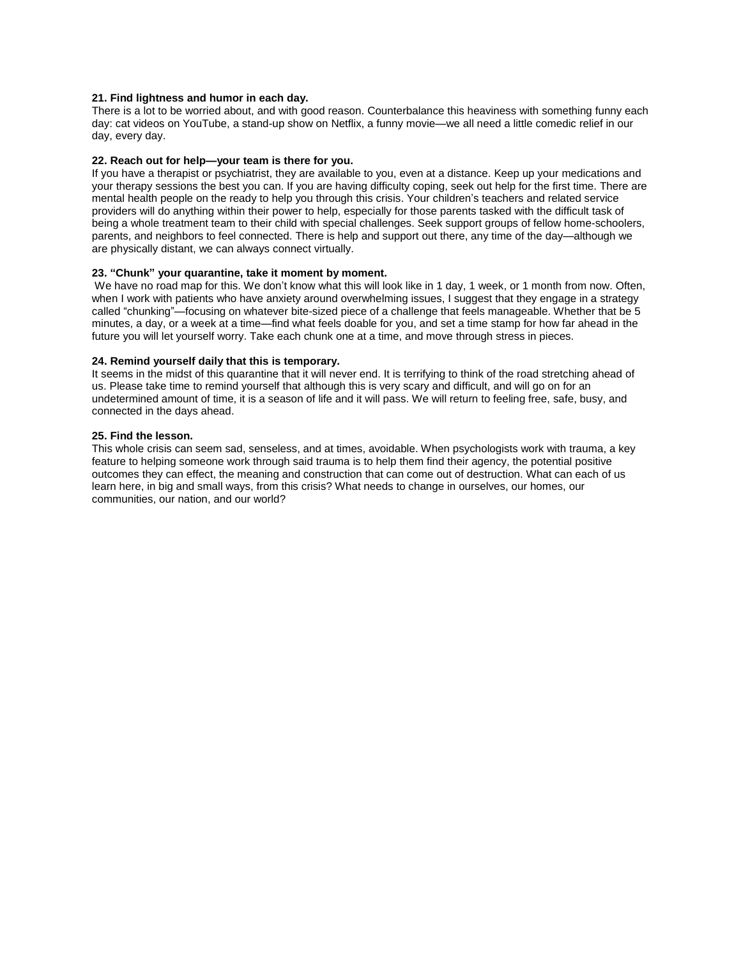#### **21. Find lightness and humor in each day.**

There is a lot to be worried about, and with good reason. Counterbalance this heaviness with something funny each day: cat videos on YouTube, a stand-up show on Netflix, a funny movie—we all need a little comedic relief in our day, every day.

## **22. Reach out for help—your team is there for you.**

If you have a therapist or psychiatrist, they are available to you, even at a distance. Keep up your medications and your therapy sessions the best you can. If you are having difficulty coping, seek out help for the first time. There are mental health people on the ready to help you through this crisis. Your children's teachers and related service providers will do anything within their power to help, especially for those parents tasked with the difficult task of being a whole treatment team to their child with special challenges. Seek support groups of fellow home-schoolers, parents, and neighbors to feel connected. There is help and support out there, any time of the day—although we are physically distant, we can always connect virtually.

#### **23. "Chunk" your quarantine, take it moment by moment.**

We have no road map for this. We don't know what this will look like in 1 day, 1 week, or 1 month from now. Often, when I work with patients who have anxiety around overwhelming issues, I suggest that they engage in a strategy called "chunking"—focusing on whatever bite-sized piece of a challenge that feels manageable. Whether that be 5 minutes, a day, or a week at a time—find what feels doable for you, and set a time stamp for how far ahead in the future you will let yourself worry. Take each chunk one at a time, and move through stress in pieces.

#### **24. Remind yourself daily that this is temporary.**

It seems in the midst of this quarantine that it will never end. It is terrifying to think of the road stretching ahead of us. Please take time to remind yourself that although this is very scary and difficult, and will go on for an undetermined amount of time, it is a season of life and it will pass. We will return to feeling free, safe, busy, and connected in the days ahead.

#### **25. Find the lesson.**

This whole crisis can seem sad, senseless, and at times, avoidable. When psychologists work with trauma, a key feature to helping someone work through said trauma is to help them find their agency, the potential positive outcomes they can effect, the meaning and construction that can come out of destruction. What can each of us learn here, in big and small ways, from this crisis? What needs to change in ourselves, our homes, our communities, our nation, and our world?